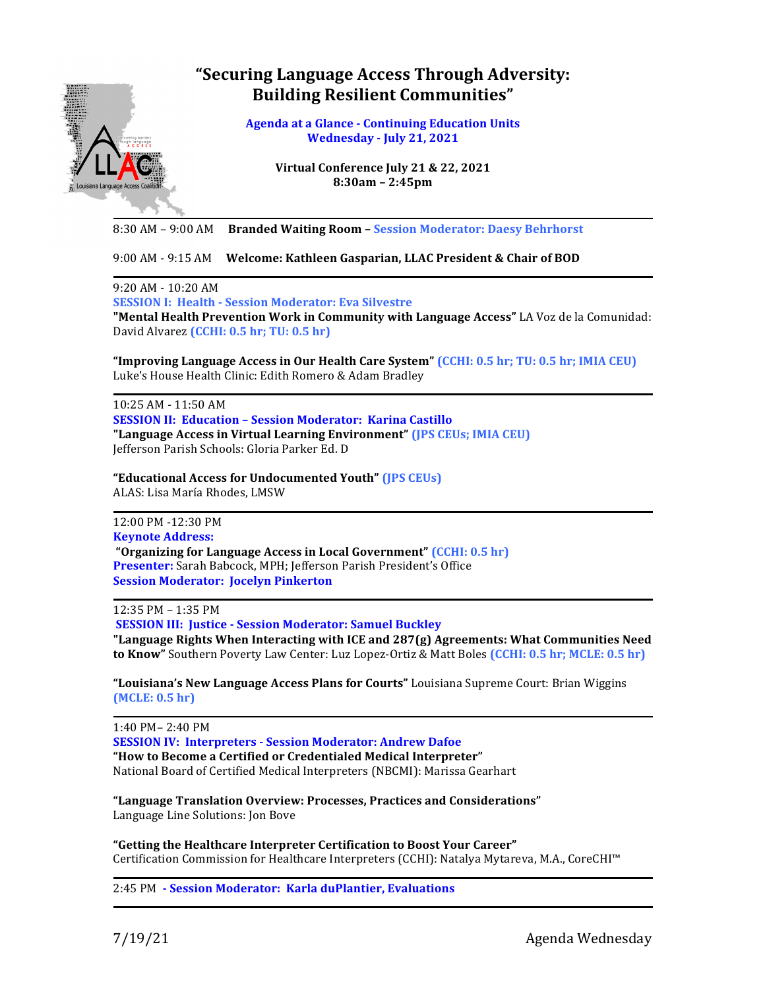## **"Securing Language Access Through Adversity: Building Resilient Communities"**



**Agenda at a Glance - Continuing Education Units Wednesday - July 21, 2021**

> **Virtual Conference July 21 & 22, 2021 8:30am – 2:45pm**

8:30 AM – 9:00 AM **Branded Waiting Room – Session Moderator: Daesy Behrhorst**

9:00 AM - 9:15 AM Welcome: Kathleen Gasparian, LLAC President & Chair of BOD

9:20 AM - 10:20 AM 

**SESSION I: Health - Session Moderator: Eva Silvestre**

**"Mental Health Prevention Work in Community with Language Access"** LA Voz de la Comunidad: David Alvarez **(CCHI:** 0.5 hr; TU: 0.5 hr)

**"Improving Language Access in Our Health Care System" (CCHI: 0.5 hr; TU: 0.5 hr; IMIA CEU)** Luke's House Health Clinic: Edith Romero & Adam Bradley

10:25 AM - 11:50 AM **SESSION II: Education - Session Moderator: Karina Castillo** "Language Access in Virtual Learning Environment" (JPS CEUs; IMIA CEU) Jefferson Parish Schools: Gloria Parker Ed. D

**"Educational Access for Undocumented Youth" (JPS CEUs)** ALAS: Lisa María Rhodes, LMSW

12:00 PM -12:30 PM **Keynote Address: "Organizing for Language Access in Local Government" (CCHI: 0.5 hr)** Presenter: Sarah Babcock, MPH; Jefferson Parish President's Office **Session Moderator: Jocelyn Pinkerton** 

12:35 PM – 1:35 PM 

**SESSION III: Justice - Session Moderator: Samuel Buckley** "Language Rights When Interacting with ICE and 287(g) Agreements: What Communities Need **to Know"** Southern Poverty Law Center: Luz Lopez-Ortiz & Matt Boles (CCHI: 0.5 hr; MCLE: 0.5 hr)

**"Louisiana's New Language Access Plans for Courts"** Louisiana Supreme Court: Brian Wiggins **(MCLE: 0.5 hr)**

1:40 PM– 2:40 PM **SESSION IV: Interpreters - Session Moderator: Andrew Dafoe "How to Become a Certified or Credentialed Medical Interpreter"** National Board of Certified Medical Interpreters (NBCMI): Marissa Gearhart

**"Language Translation Overview: Processes, Practices and Considerations"** Language Line Solutions: Jon Bove

**"Getting the Healthcare Interpreter Certification to Boost Your Career"** Certification Commission for Healthcare Interpreters (CCHI): Natalya Mytareva, M.A., CoreCHI™

2:45 PM **- Session Moderator: Karla duPlantier, Evaluations**